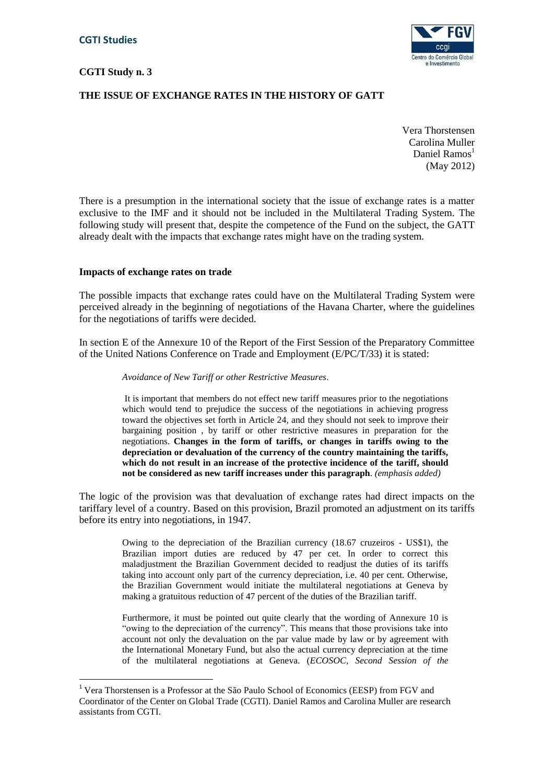$\overline{a}$ 

# **CGTI Study n. 3**



# **THE ISSUE OF EXCHANGE RATES IN THE HISTORY OF GATT**

Vera Thorstensen Carolina Muller Daniel Ramos<sup>1</sup> (May 2012)

There is a presumption in the international society that the issue of exchange rates is a matter exclusive to the IMF and it should not be included in the Multilateral Trading System. The following study will present that, despite the competence of the Fund on the subject, the GATT already dealt with the impacts that exchange rates might have on the trading system.

#### **Impacts of exchange rates on trade**

The possible impacts that exchange rates could have on the Multilateral Trading System were perceived already in the beginning of negotiations of the Havana Charter, where the guidelines for the negotiations of tariffs were decided.

In section E of the Annexure 10 of the Report of the First Session of the Preparatory Committee of the United Nations Conference on Trade and Employment (E/PC/T/33) it is stated:

*Avoidance of New Tariff or other Restrictive Measures*.

It is important that members do not effect new tariff measures prior to the negotiations which would tend to prejudice the success of the negotiations in achieving progress toward the objectives set forth in Article 24, and they should not seek to improve their bargaining position , by tariff or other restrictive measures in preparation for the negotiations. **Changes in the form of tariffs, or changes in tariffs owing to the depreciation or devaluation of the currency of the country maintaining the tariffs, which do not result in an increase of the protective incidence of the tariff, should not be considered as new tariff increases under this paragraph**. *(emphasis added)*

The logic of the provision was that devaluation of exchange rates had direct impacts on the tariffary level of a country. Based on this provision, Brazil promoted an adjustment on its tariffs before its entry into negotiations, in 1947.

> Owing to the depreciation of the Brazilian currency (18.67 cruzeiros - US\$1), the Brazilian import duties are reduced by 47 per cet. In order to correct this maladjustment the Brazilian Government decided to readjust the duties of its tariffs taking into account only part of the currency depreciation, i.e. 40 per cent. Otherwise, the Brazilian Government would initiate the multilateral negotiations at Geneva by making a gratuitous reduction of 47 percent of the duties of the Brazilian tariff.

> Furthermore, it must be pointed out quite clearly that the wording of Annexure 10 is "owing to the depreciation of the currency". This means that those provisions take into account not only the devaluation on the par value made by law or by agreement with the International Monetary Fund, but also the actual currency depreciation at the time of the multilateral negotiations at Geneva. (*ECOSOC, Second Session of the*

<sup>1</sup> Vera Thorstensen is a Professor at the São Paulo School of Economics (EESP) from FGV and Coordinator of the Center on Global Trade (CGTI). Daniel Ramos and Carolina Muller are research assistants from CGTI.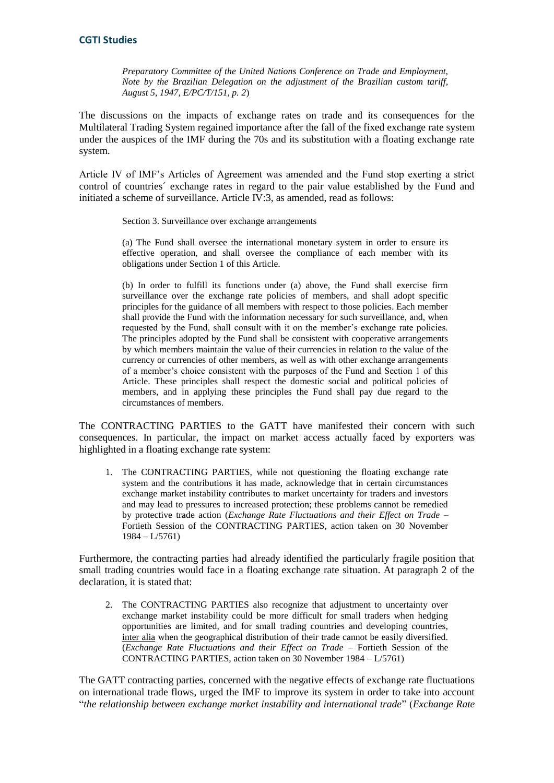*Preparatory Committee of the United Nations Conference on Trade and Employment, Note by the Brazilian Delegation on the adjustment of the Brazilian custom tariff, August 5, 1947, E/PC/T/151, p. 2*)

The discussions on the impacts of exchange rates on trade and its consequences for the Multilateral Trading System regained importance after the fall of the fixed exchange rate system under the auspices of the IMF during the 70s and its substitution with a floating exchange rate system.

Article IV of IMF's Articles of Agreement was amended and the Fund stop exerting a strict control of countries´ exchange rates in regard to the pair value established by the Fund and initiated a scheme of surveillance. Article IV:3, as amended, read as follows:

Section 3. Surveillance over exchange arrangements

(a) The Fund shall oversee the international monetary system in order to ensure its effective operation, and shall oversee the compliance of each member with its obligations under Section 1 of this Article.

(b) In order to fulfill its functions under (a) above, the Fund shall exercise firm surveillance over the exchange rate policies of members, and shall adopt specific principles for the guidance of all members with respect to those policies. Each member shall provide the Fund with the information necessary for such surveillance, and, when requested by the Fund, shall consult with it on the member's exchange rate policies. The principles adopted by the Fund shall be consistent with cooperative arrangements by which members maintain the value of their currencies in relation to the value of the currency or currencies of other members, as well as with other exchange arrangements of a member's choice consistent with the purposes of the Fund and Section 1 of this Article. These principles shall respect the domestic social and political policies of members, and in applying these principles the Fund shall pay due regard to the circumstances of members.

The CONTRACTING PARTIES to the GATT have manifested their concern with such consequences. In particular, the impact on market access actually faced by exporters was highlighted in a floating exchange rate system:

1. The CONTRACTING PARTIES, while not questioning the floating exchange rate system and the contributions it has made, acknowledge that in certain circumstances exchange market instability contributes to market uncertainty for traders and investors and may lead to pressures to increased protection; these problems cannot be remedied by protective trade action (*Exchange Rate Fluctuations and their Effect on Trade* – Fortieth Session of the CONTRACTING PARTIES, action taken on 30 November 1984 – L/5761)

Furthermore, the contracting parties had already identified the particularly fragile position that small trading countries would face in a floating exchange rate situation. At paragraph 2 of the declaration, it is stated that:

2. The CONTRACTING PARTIES also recognize that adjustment to uncertainty over exchange market instability could be more difficult for small traders when hedging opportunities are limited, and for small trading countries and developing countries, inter alia when the geographical distribution of their trade cannot be easily diversified. (*Exchange Rate Fluctuations and their Effect on Trade* – Fortieth Session of the CONTRACTING PARTIES, action taken on 30 November 1984 – L/5761)

The GATT contracting parties, concerned with the negative effects of exchange rate fluctuations on international trade flows, urged the IMF to improve its system in order to take into account "*the relationship between exchange market instability and international trade*" (*Exchange Rate*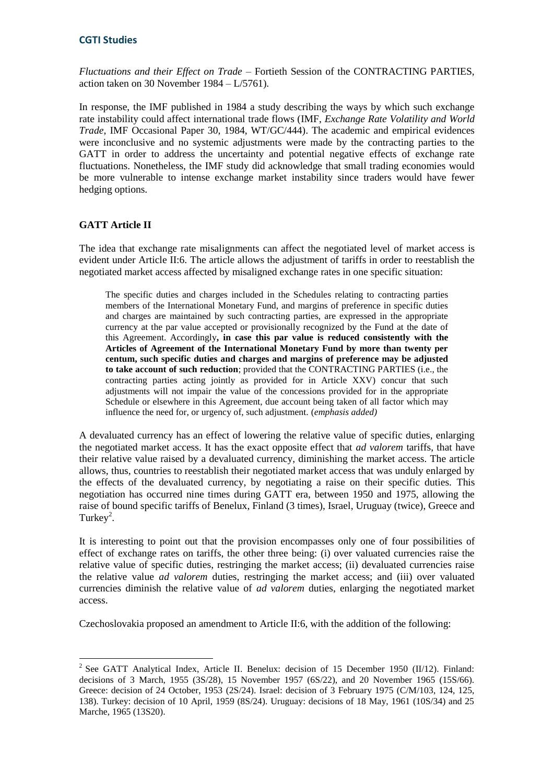*Fluctuations and their Effect on Trade* – Fortieth Session of the CONTRACTING PARTIES, action taken on 30 November 1984 – L/5761).

In response, the IMF published in 1984 a study describing the ways by which such exchange rate instability could affect international trade flows (IMF, *Exchange Rate Volatility and World Trade*, IMF Occasional Paper 30, 1984, WT/GC/444). The academic and empirical evidences were inconclusive and no systemic adjustments were made by the contracting parties to the GATT in order to address the uncertainty and potential negative effects of exchange rate fluctuations. Nonetheless, the IMF study did acknowledge that small trading economies would be more vulnerable to intense exchange market instability since traders would have fewer hedging options.

### **GATT Article II**

The idea that exchange rate misalignments can affect the negotiated level of market access is evident under Article II:6. The article allows the adjustment of tariffs in order to reestablish the negotiated market access affected by misaligned exchange rates in one specific situation:

The specific duties and charges included in the Schedules relating to contracting parties members of the International Monetary Fund, and margins of preference in specific duties and charges are maintained by such contracting parties, are expressed in the appropriate currency at the par value accepted or provisionally recognized by the Fund at the date of this Agreement. Accordingly**, in case this par value is reduced consistently with the Articles of Agreement of the International Monetary Fund by more than twenty per centum, such specific duties and charges and margins of preference may be adjusted to take account of such reduction**; provided that the CONTRACTING PARTIES (i.e., the contracting parties acting jointly as provided for in Article XXV) concur that such adjustments will not impair the value of the concessions provided for in the appropriate Schedule or elsewhere in this Agreement, due account being taken of all factor which may influence the need for, or urgency of, such adjustment. (*emphasis added)*

A devaluated currency has an effect of lowering the relative value of specific duties, enlarging the negotiated market access. It has the exact opposite effect that *ad valorem* tariffs, that have their relative value raised by a devaluated currency, diminishing the market access. The article allows, thus, countries to reestablish their negotiated market access that was unduly enlarged by the effects of the devaluated currency, by negotiating a raise on their specific duties. This negotiation has occurred nine times during GATT era, between 1950 and 1975, allowing the raise of bound specific tariffs of Benelux, Finland (3 times), Israel, Uruguay (twice), Greece and Turkey<sup>2</sup>.

It is interesting to point out that the provision encompasses only one of four possibilities of effect of exchange rates on tariffs, the other three being: (i) over valuated currencies raise the relative value of specific duties, restringing the market access; (ii) devaluated currencies raise the relative value *ad valorem* duties, restringing the market access; and (iii) over valuated currencies diminish the relative value of *ad valorem* duties, enlarging the negotiated market access.

Czechoslovakia proposed an amendment to Article II:6, with the addition of the following:

**<sup>.</sup>** <sup>2</sup> See GATT Analytical Index, Article II. Benelux: decision of 15 December 1950 (II/12). Finland: decisions of 3 March, 1955 (3S/28), 15 November 1957 (6S/22), and 20 November 1965 (15S/66). Greece: decision of 24 October, 1953 (2S/24). Israel: decision of 3 February 1975 (C/M/103, 124, 125, 138). Turkey: decision of 10 April, 1959 (8S/24). Uruguay: decisions of 18 May, 1961 (10S/34) and 25 Marche, 1965 (13S20).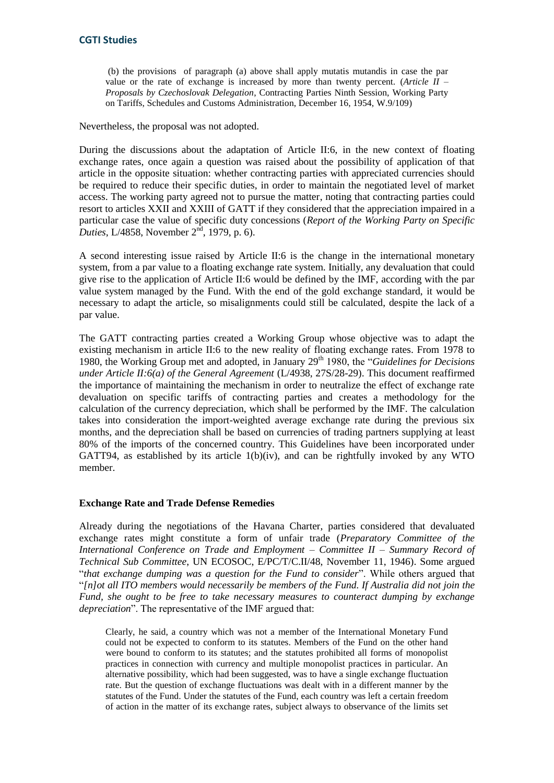(b) the provisions of paragraph (a) above shall apply mutatis mutandis in case the par value or the rate of exchange is increased by more than twenty percent. (*Article II – Proposals by Czechoslovak Delegation*, Contracting Parties Ninth Session, Working Party on Tariffs, Schedules and Customs Administration, December 16, 1954, W.9/109)

Nevertheless, the proposal was not adopted.

During the discussions about the adaptation of Article II:6, in the new context of floating exchange rates, once again a question was raised about the possibility of application of that article in the opposite situation: whether contracting parties with appreciated currencies should be required to reduce their specific duties, in order to maintain the negotiated level of market access. The working party agreed not to pursue the matter, noting that contracting parties could resort to articles XXII and XXIII of GATT if they considered that the appreciation impaired in a particular case the value of specific duty concessions (*Report of the Working Party on Specific Duties*, L/4858, November 2<sup>nd</sup>, 1979, p. 6).

A second interesting issue raised by Article II:6 is the change in the international monetary system, from a par value to a floating exchange rate system. Initially, any devaluation that could give rise to the application of Article II:6 would be defined by the IMF, according with the par value system managed by the Fund. With the end of the gold exchange standard, it would be necessary to adapt the article, so misalignments could still be calculated, despite the lack of a par value.

The GATT contracting parties created a Working Group whose objective was to adapt the existing mechanism in article II:6 to the new reality of floating exchange rates. From 1978 to 1980, the Working Group met and adopted, in January 29<sup>th</sup> 1980, the "*Guidelines for Decisions under Article II:6(a) of the General Agreement* (L/4938, 27S/28-29). This document reaffirmed the importance of maintaining the mechanism in order to neutralize the effect of exchange rate devaluation on specific tariffs of contracting parties and creates a methodology for the calculation of the currency depreciation, which shall be performed by the IMF. The calculation takes into consideration the import-weighted average exchange rate during the previous six months, and the depreciation shall be based on currencies of trading partners supplying at least 80% of the imports of the concerned country. This Guidelines have been incorporated under GATT94, as established by its article  $1(b)(iv)$ , and can be rightfully invoked by any WTO member.

#### **Exchange Rate and Trade Defense Remedies**

Already during the negotiations of the Havana Charter, parties considered that devaluated exchange rates might constitute a form of unfair trade (*Preparatory Committee of the International Conference on Trade and Employment – Committee II – Summary Record of Technical Sub Committee*, UN ECOSOC, E/PC/T/C.II/48, November 11, 1946). Some argued "*that exchange dumping was a question for the Fund to consider*". While others argued that "*[n]ot all ITO members would necessarily be members of the Fund. If Australia did not join the Fund, she ought to be free to take necessary measures to counteract dumping by exchange depreciation*". The representative of the IMF argued that:

Clearly, he said, a country which was not a member of the International Monetary Fund could not be expected to conform to its statutes. Members of the Fund on the other hand were bound to conform to its statutes; and the statutes prohibited all forms of monopolist practices in connection with currency and multiple monopolist practices in particular. An alternative possibility, which had been suggested, was to have a single exchange fluctuation rate. But the question of exchange fluctuations was dealt with in a different manner by the statutes of the Fund. Under the statutes of the Fund, each country was left a certain freedom of action in the matter of its exchange rates, subject always to observance of the limits set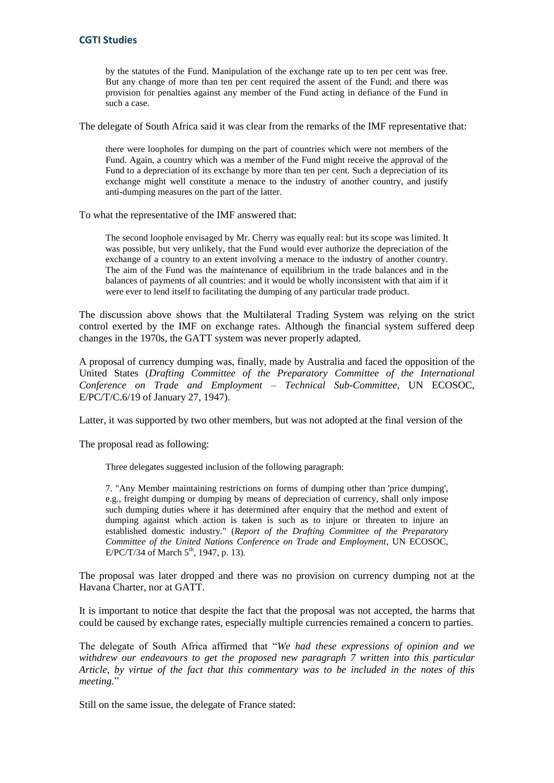by the statutes of the Fund. Manipulation of the exchange rate up to ten per cent was free. But any change of more than ten per cent required the assent of the Fund; and there was provision for penalties against any member of the Fund acting in defiance of the Fund in such a case.

The delegate of South Africa said it was clear from the remarks of the IMF representative that:

there were loopholes for dumping on the part of countries which were not members of the Fund. Again, a country which was a member of the Fund might receive the approval of the Fund to a depreciation of its exchange by more than ten per cent. Such a depreciation of its exchange might well constitute a menace to the industry of another country, and justify anti-dumping measures on the part of the latter.

To what the representative of the IMF answered that:

The second loophole envisaged by Mr. Cherry was equally real: but its scope was limited. It was possible, but very unlikely, that the Fund would ever authorize the depreciation of the exchange of a country to an extent involving a menace to the industry of another country. The aim of the Fund was the maintenance of equilibrium in the trade balances and in the balances of payments of all countries: and it would be wholly inconsistent with that aim if it were ever to lend itself to facilitating the dumping of any particular trade product.

The discussion above shows that the Multilateral Trading System was relying on the strict control exerted by the IMF on exchange rates. Although the financial system suffered deep changes in the 1970s, the GATT system was never properly adapted.

A proposal of currency dumping was, finally, made by Australia and faced the opposition of the United States (*Drafting Committee of the Preparatory Committee of the International Conference on Trade and Employment – Technical Sub-Committee*, UN ECOSOC, E/PC/T/C.6/19 of January 27, 1947).

Latter, it was supported by two other members, but was not adopted at the final version of the

The proposal read as following:

Three delegates suggested inclusion of the following paragraph:

7. "Any Member maintaining restrictions on forms of dumping other than 'price dumping', e.g., freight dumping or dumping by means of depreciation of currency, shall only impose such dumping duties where it has determined after enquiry that the method and extent of dumping against which action is taken is such as to injure or threaten to injure an established domestic industry." (*Report of the Drafting Committee of the Preparatory Committee of the United Nations Conference on Trade and Employment*, UN ECOSOC, E/PC/T/34 of March  $5^{th}$ , 1947, p. 13).

The proposal was later dropped and there was no provision on currency dumping not at the Havana Charter, nor at GATT.

It is important to notice that despite the fact that the proposal was not accepted, the harms that could be caused by exchange rates, especially multiple currencies remained a concern to parties.

The delegate of South Africa affirmed that "*We had these expressions of opinion and we withdrew our endeavours to get the proposed new paragraph 7 written into this particular Article, by virtue of the fact that this commentary was to be included in the notes of this meeting.*"

Still on the same issue, the delegate of France stated: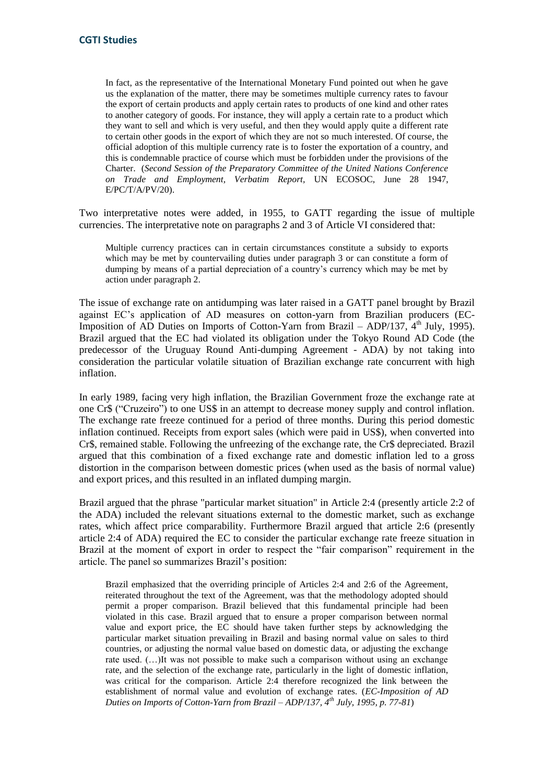In fact, as the representative of the International Monetary Fund pointed out when he gave us the explanation of the matter, there may be sometimes multiple currency rates to favour the export of certain products and apply certain rates to products of one kind and other rates to another category of goods. For instance, they will apply a certain rate to a product which they want to sell and which is very useful, and then they would apply quite a different rate to certain other goods in the export of which they are not so much interested. Of course, the official adoption of this multiple currency rate is to foster the exportation of a country, and this is condemnable practice of course which must be forbidden under the provisions of the Charter. (*Second Session of the Preparatory Committee of the United Nations Conference on Trade and Employment, Verbatim Report,* UN ECOSOC, June 28 1947, E/PC/T/A/PV/20).

Two interpretative notes were added, in 1955, to GATT regarding the issue of multiple currencies. The interpretative note on paragraphs 2 and 3 of Article VI considered that:

Multiple currency practices can in certain circumstances constitute a subsidy to exports which may be met by countervailing duties under paragraph 3 or can constitute a form of dumping by means of a partial depreciation of a country's currency which may be met by action under paragraph 2.

The issue of exchange rate on antidumping was later raised in a GATT panel brought by Brazil against EC's application of AD measures on cotton-yarn from Brazilian producers (EC-Imposition of  $\overrightarrow{AD}$  Duties on Imports of Cotton-Yarn from Brazil – ADP/137,  $4^{\text{th}}$  July, 1995). Brazil argued that the EC had violated its obligation under the Tokyo Round AD Code (the predecessor of the Uruguay Round Anti-dumping Agreement - ADA) by not taking into consideration the particular volatile situation of Brazilian exchange rate concurrent with high inflation.

In early 1989, facing very high inflation, the Brazilian Government froze the exchange rate at one Cr\$ ("Cruzeiro") to one US\$ in an attempt to decrease money supply and control inflation. The exchange rate freeze continued for a period of three months. During this period domestic inflation continued. Receipts from export sales (which were paid in US\$), when converted into Cr\$, remained stable. Following the unfreezing of the exchange rate, the Cr\$ depreciated. Brazil argued that this combination of a fixed exchange rate and domestic inflation led to a gross distortion in the comparison between domestic prices (when used as the basis of normal value) and export prices, and this resulted in an inflated dumping margin.

Brazil argued that the phrase "particular market situation" in Article 2:4 (presently article 2:2 of the ADA) included the relevant situations external to the domestic market, such as exchange rates, which affect price comparability. Furthermore Brazil argued that article 2:6 (presently article 2:4 of ADA) required the EC to consider the particular exchange rate freeze situation in Brazil at the moment of export in order to respect the "fair comparison" requirement in the article. The panel so summarizes Brazil's position:

Brazil emphasized that the overriding principle of Articles 2:4 and 2:6 of the Agreement, reiterated throughout the text of the Agreement, was that the methodology adopted should permit a proper comparison. Brazil believed that this fundamental principle had been violated in this case. Brazil argued that to ensure a proper comparison between normal value and export price, the EC should have taken further steps by acknowledging the particular market situation prevailing in Brazil and basing normal value on sales to third countries, or adjusting the normal value based on domestic data, or adjusting the exchange rate used. (…)It was not possible to make such a comparison without using an exchange rate, and the selection of the exchange rate, particularly in the light of domestic inflation, was critical for the comparison. Article 2:4 therefore recognized the link between the establishment of normal value and evolution of exchange rates. (*EC-Imposition of AD Duties on Imports of Cotton-Yarn from Brazil – ADP/137, 4th July, 1995, p. 77-81*)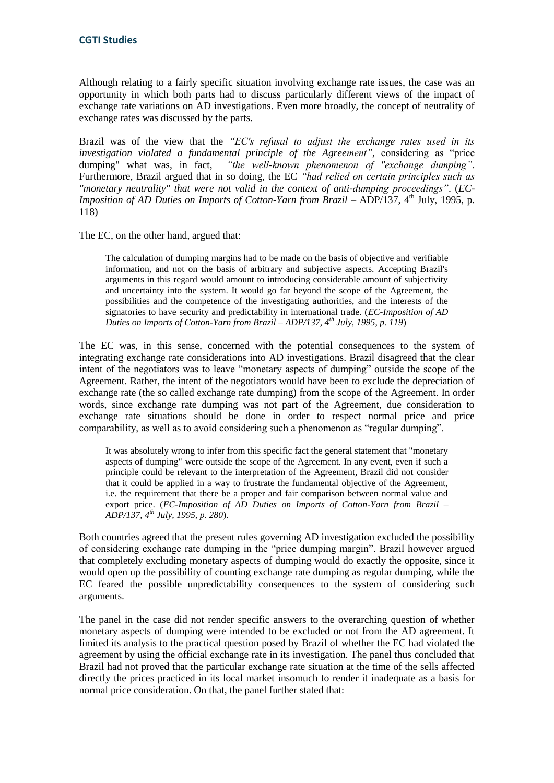Although relating to a fairly specific situation involving exchange rate issues, the case was an opportunity in which both parts had to discuss particularly different views of the impact of exchange rate variations on AD investigations. Even more broadly, the concept of neutrality of exchange rates was discussed by the parts.

Brazil was of the view that the *"EC's refusal to adjust the exchange rates used in its investigation violated a fundamental principle of the Agreement"*, considering as "price dumping" what was, in fact, *"the well-known phenomenon of "exchange dumping"*. Furthermore, Brazil argued that in so doing, the EC *"had relied on certain principles such as "monetary neutrality" that were not valid in the context of anti-dumping proceedings"*. (*EC-Imposition of AD Duties on Imports of Cotton-Yarn from Brazil – ADP*/137, 4<sup>th</sup> July, 1995, p. 118)

The EC, on the other hand, argued that:

The calculation of dumping margins had to be made on the basis of objective and verifiable information, and not on the basis of arbitrary and subjective aspects. Accepting Brazil's arguments in this regard would amount to introducing considerable amount of subjectivity and uncertainty into the system. It would go far beyond the scope of the Agreement, the possibilities and the competence of the investigating authorities, and the interests of the signatories to have security and predictability in international trade. (*EC-Imposition of AD Duties on Imports of Cotton-Yarn from Brazil – ADP/137, 4th July, 1995, p. 119*)

The EC was, in this sense, concerned with the potential consequences to the system of integrating exchange rate considerations into AD investigations. Brazil disagreed that the clear intent of the negotiators was to leave "monetary aspects of dumping" outside the scope of the Agreement. Rather, the intent of the negotiators would have been to exclude the depreciation of exchange rate (the so called exchange rate dumping) from the scope of the Agreement. In order words, since exchange rate dumping was not part of the Agreement, due consideration to exchange rate situations should be done in order to respect normal price and price comparability, as well as to avoid considering such a phenomenon as "regular dumping".

It was absolutely wrong to infer from this specific fact the general statement that "monetary aspects of dumping" were outside the scope of the Agreement. In any event, even if such a principle could be relevant to the interpretation of the Agreement, Brazil did not consider that it could be applied in a way to frustrate the fundamental objective of the Agreement, i.e. the requirement that there be a proper and fair comparison between normal value and export price. (*EC-Imposition of AD Duties on Imports of Cotton-Yarn from Brazil – ADP/137, 4th July, 1995, p. 280*).

Both countries agreed that the present rules governing AD investigation excluded the possibility of considering exchange rate dumping in the "price dumping margin". Brazil however argued that completely excluding monetary aspects of dumping would do exactly the opposite, since it would open up the possibility of counting exchange rate dumping as regular dumping, while the EC feared the possible unpredictability consequences to the system of considering such arguments.

The panel in the case did not render specific answers to the overarching question of whether monetary aspects of dumping were intended to be excluded or not from the AD agreement. It limited its analysis to the practical question posed by Brazil of whether the EC had violated the agreement by using the official exchange rate in its investigation. The panel thus concluded that Brazil had not proved that the particular exchange rate situation at the time of the sells affected directly the prices practiced in its local market insomuch to render it inadequate as a basis for normal price consideration. On that, the panel further stated that: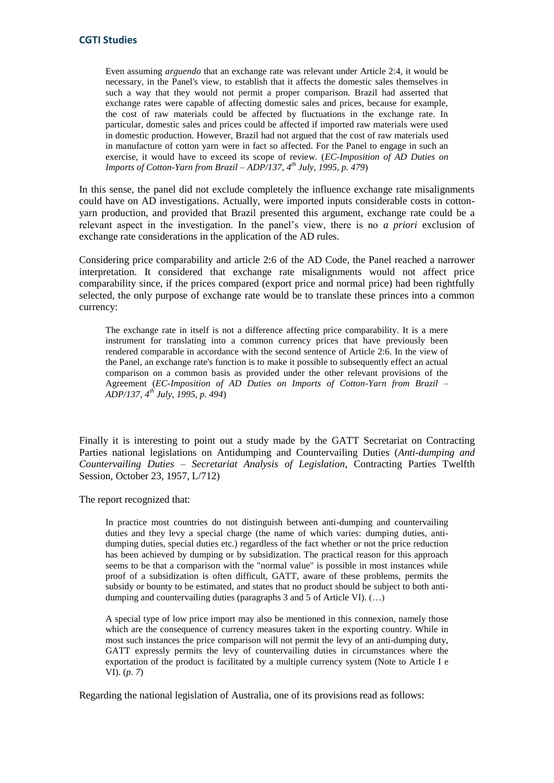Even assuming *arguendo* that an exchange rate was relevant under Article 2:4, it would be necessary, in the Panel's view, to establish that it affects the domestic sales themselves in such a way that they would not permit a proper comparison. Brazil had asserted that exchange rates were capable of affecting domestic sales and prices, because for example, the cost of raw materials could be affected by fluctuations in the exchange rate. In particular, domestic sales and prices could be affected if imported raw materials were used in domestic production. However, Brazil had not argued that the cost of raw materials used in manufacture of cotton yarn were in fact so affected. For the Panel to engage in such an exercise, it would have to exceed its scope of review. (*EC-Imposition of AD Duties on Imports of Cotton-Yarn from Brazil – ADP/137, 4th July, 1995, p. 479*)

In this sense, the panel did not exclude completely the influence exchange rate misalignments could have on AD investigations. Actually, were imported inputs considerable costs in cottonyarn production, and provided that Brazil presented this argument, exchange rate could be a relevant aspect in the investigation. In the panel's view, there is no *a priori* exclusion of exchange rate considerations in the application of the AD rules.

Considering price comparability and article 2:6 of the AD Code, the Panel reached a narrower interpretation. It considered that exchange rate misalignments would not affect price comparability since, if the prices compared (export price and normal price) had been rightfully selected, the only purpose of exchange rate would be to translate these princes into a common currency:

The exchange rate in itself is not a difference affecting price comparability. It is a mere instrument for translating into a common currency prices that have previously been rendered comparable in accordance with the second sentence of Article 2:6. In the view of the Panel, an exchange rate's function is to make it possible to subsequently effect an actual comparison on a common basis as provided under the other relevant provisions of the Agreement (*EC-Imposition of AD Duties on Imports of Cotton-Yarn from Brazil – ADP/137, 4th July, 1995, p. 494*)

Finally it is interesting to point out a study made by the GATT Secretariat on Contracting Parties national legislations on Antidumping and Countervailing Duties (*Anti-dumping and Countervailing Duties – Secretariat Analysis of Legislation*, Contracting Parties Twelfth Session, October 23, 1957, L/712)

The report recognized that:

In practice most countries do not distinguish between anti-dumping and countervailing duties and they levy a special charge (the name of which varies: dumping duties, antidumping duties, special duties etc.) regardless of the fact whether or not the price reduction has been achieved by dumping or by subsidization. The practical reason for this approach seems to be that a comparison with the "normal value" is possible in most instances while proof of a subsidization is often difficult, GATT, aware of these problems, permits the subsidy or bounty to be estimated, and states that no product should be subject to both antidumping and countervailing duties (paragraphs 3 and 5 of Article VI). (…)

A special type of low price import may also be mentioned in this connexion, namely those which are the consequence of currency measures taken in the exporting country. While in most such instances the price comparison will not permit the levy of an anti-dumping duty, GATT expressly permits the levy of countervailing duties in circumstances where the exportation of the product is facilitated by a multiple currency system (Note to Article I e VI). (*p. 7*)

Regarding the national legislation of Australia, one of its provisions read as follows: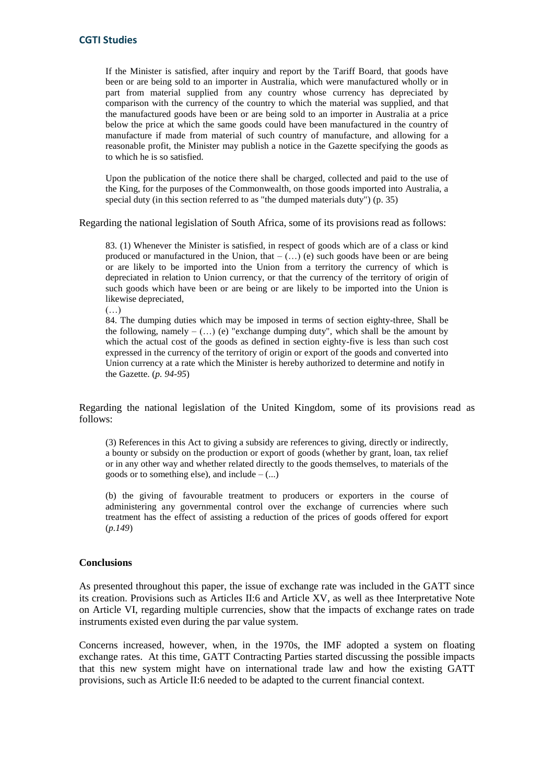If the Minister is satisfied, after inquiry and report by the Tariff Board, that goods have been or are being sold to an importer in Australia, which were manufactured wholly or in part from material supplied from any country whose currency has depreciated by comparison with the currency of the country to which the material was supplied, and that the manufactured goods have been or are being sold to an importer in Australia at a price below the price at which the same goods could have been manufactured in the country of manufacture if made from material of such country of manufacture, and allowing for a reasonable profit, the Minister may publish a notice in the Gazette specifying the goods as to which he is so satisfied.

Upon the publication of the notice there shall be charged, collected and paid to the use of the King, for the purposes of the Commonwealth, on those goods imported into Australia, a special duty (in this section referred to as "the dumped materials duty") (p. 35)

Regarding the national legislation of South Africa, some of its provisions read as follows:

83. (1) Whenever the Minister is satisfied, in respect of goods which are of a class or kind produced or manufactured in the Union, that  $-$  (...) (e) such goods have been or are being or are likely to be imported into the Union from a territory the currency of which is depreciated in relation to Union currency, or that the currency of the territory of origin of such goods which have been or are being or are likely to be imported into the Union is likewise depreciated,

(…)

84. The dumping duties which may be imposed in terms of section eighty-three, Shall be the following, namely  $-(\ldots)$  (e) "exchange dumping duty", which shall be the amount by which the actual cost of the goods as defined in section eighty-five is less than such cost expressed in the currency of the territory of origin or export of the goods and converted into Union currency at a rate which the Minister is hereby authorized to determine and notify in the Gazette. (*p. 94-95*)

Regarding the national legislation of the United Kingdom, some of its provisions read as follows:

(3) References in this Act to giving a subsidy are references to giving, directly or indirectly, a bounty or subsidy on the production or export of goods (whether by grant, loan, tax relief or in any other way and whether related directly to the goods themselves, to materials of the goods or to something else), and include  $-$  (...)

(b) the giving of favourable treatment to producers or exporters in the course of administering any governmental control over the exchange of currencies where such treatment has the effect of assisting a reduction of the prices of goods offered for export (*p.149*)

#### **Conclusions**

As presented throughout this paper, the issue of exchange rate was included in the GATT since its creation. Provisions such as Articles II:6 and Article XV, as well as thee Interpretative Note on Article VI, regarding multiple currencies, show that the impacts of exchange rates on trade instruments existed even during the par value system.

Concerns increased, however, when, in the 1970s, the IMF adopted a system on floating exchange rates. At this time, GATT Contracting Parties started discussing the possible impacts that this new system might have on international trade law and how the existing GATT provisions, such as Article II:6 needed to be adapted to the current financial context.